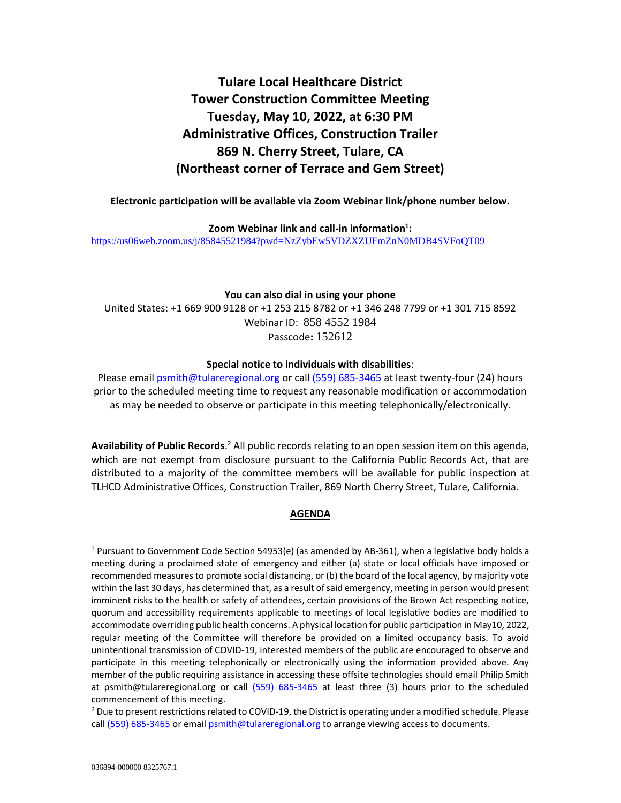# **Tulare Local Healthcare District Tower Construction Committee Meeting Tuesday, May 10, 2022, at 6:30 PM Administrative Offices, Construction Trailer 869 N. Cherry Street, Tulare, CA (Northeast corner of Terrace and Gem Street)**

#### **Electronic participation will be available via Zoom Webinar link/phone number below.**

**Zoom Webinar link and call-in information<sup>1</sup> :** <https://us06web.zoom.us/j/85845521984?pwd=NzZybEw5VDZXZUFmZnN0MDB4SVFoQT09>

#### **You can also dial in using your phone**

United States: +1 669 900 9128 or +1 253 215 8782 or +1 346 248 7799 or +1 301 715 8592 Webinar ID: 858 4552 1984 Passcode**:** 152612

#### **Special notice to individuals with disabilities**:

Please email **psmith@tulareregional.org** or call (559) 685-3465 at least twenty-four (24) hours prior to the scheduled meeting time to request any reasonable modification or accommodation as may be needed to observe or participate in this meeting telephonically/electronically.

Availability of Public Records.<sup>2</sup> All public records relating to an open session item on this agenda, which are not exempt from disclosure pursuant to the California Public Records Act, that are distributed to a majority of the committee members will be available for public inspection at TLHCD Administrative Offices, Construction Trailer, 869 North Cherry Street, Tulare, California.

# **AGENDA**

 $1$  Pursuant to Government Code Section 54953(e) (as amended by AB-361), when a legislative body holds a meeting during a proclaimed state of emergency and either (a) state or local officials have imposed or recommended measures to promote social distancing, or (b) the board of the local agency, by majority vote within the last 30 days, has determined that, as a result of said emergency, meeting in person would present imminent risks to the health or safety of attendees, certain provisions of the Brown Act respecting notice, quorum and accessibility requirements applicable to meetings of local legislative bodies are modified to accommodate overriding public health concerns. A physical location for public participation in May10, 2022, regular meeting of the Committee will therefore be provided on a limited occupancy basis. To avoid unintentional transmission of COVID-19, interested members of the public are encouraged to observe and participate in this meeting telephonically or electronically using the information provided above. Any member of the public requiring assistance in accessing these offsite technologies should email Philip Smith at psmith@tulareregional.org or call (559) 685-3465 at least three (3) hours prior to the scheduled commencement of this meeting.

 $^2$  Due to present restrictions related to COVID-19, the District is operating under a modified schedule. Please call (559) 685-3465 or email **psmith@tulareregional.org** to arrange viewing access to documents.